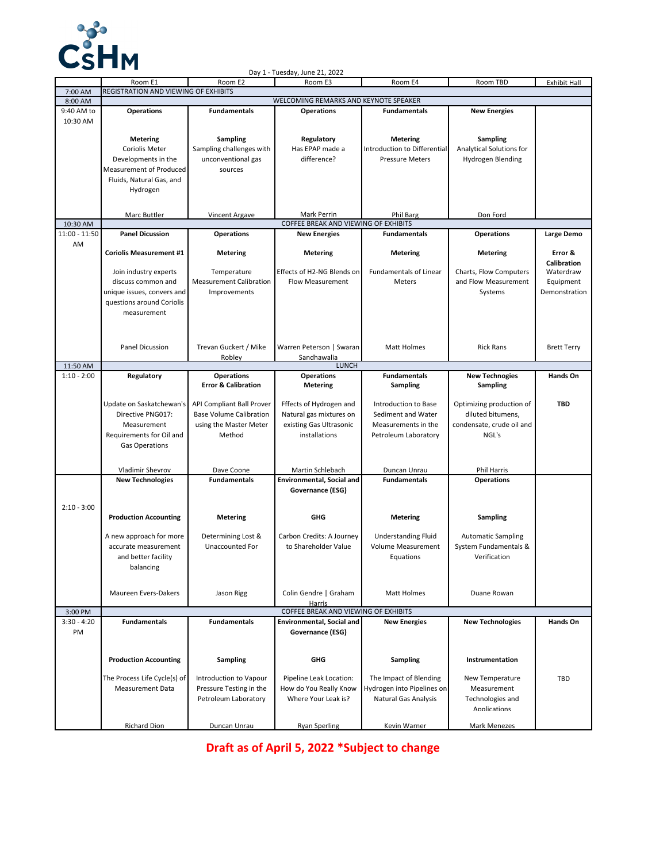

|               |                                      |                                  | Day 1 - Tuesday, June 21, 2022        |                               |                                  |                     |  |  |
|---------------|--------------------------------------|----------------------------------|---------------------------------------|-------------------------------|----------------------------------|---------------------|--|--|
|               | Room E1                              | Room E2                          | Room E3                               | Room E4                       | Room TBD                         | <b>Exhibit Hall</b> |  |  |
| 7:00 AM       | REGISTRATION AND VIEWING OF EXHIBITS |                                  |                                       |                               |                                  |                     |  |  |
| 8:00 AM       |                                      |                                  | WELCOMING REMARKS AND KEYNOTE SPEAKER |                               |                                  |                     |  |  |
| 9:40 AM to    | <b>Operations</b>                    | <b>Fundamentals</b>              | <b>Operations</b>                     | <b>Fundamentals</b>           | <b>New Energies</b>              |                     |  |  |
| 10:30 AM      |                                      |                                  |                                       |                               |                                  |                     |  |  |
|               |                                      |                                  |                                       |                               |                                  |                     |  |  |
|               | <b>Metering</b>                      | <b>Sampling</b>                  | Regulatory                            | <b>Metering</b>               | Sampling                         |                     |  |  |
|               | Coriolis Meter                       | Sampling challenges with         | Has EPAP made a                       | Introduction to Differential  | Analytical Solutions for         |                     |  |  |
|               | Developments in the                  | unconventional gas               | difference?                           | <b>Pressure Meters</b>        | Hydrogen Blending                |                     |  |  |
|               | Measurement of Produced              | sources                          |                                       |                               |                                  |                     |  |  |
|               | Fluids, Natural Gas, and             |                                  |                                       |                               |                                  |                     |  |  |
|               | Hydrogen                             |                                  |                                       |                               |                                  |                     |  |  |
|               |                                      |                                  |                                       |                               |                                  |                     |  |  |
|               | <b>Marc Buttler</b>                  | <b>Vincent Argave</b>            | Mark Perrin                           | Phil Barg                     | Don Ford                         |                     |  |  |
| 10:30 AM      |                                      |                                  | COFFEE BREAK AND VIEWING OF EXHIBITS  |                               |                                  |                     |  |  |
| 11:00 - 11:50 | <b>Panel Dicussion</b>               | <b>Operations</b>                | <b>New Energies</b>                   | <b>Fundamentals</b>           | <b>Operations</b>                | Large Demo          |  |  |
| AM            |                                      |                                  |                                       |                               |                                  |                     |  |  |
|               | <b>Coriolis Measurement #1</b>       | <b>Metering</b>                  | <b>Metering</b>                       | <b>Metering</b>               | <b>Metering</b>                  | Error &             |  |  |
|               |                                      |                                  |                                       |                               |                                  | Calibration         |  |  |
|               | Join industry experts                | Temperature                      | Effects of H2-NG Blends on            | <b>Fundamentals of Linear</b> | Charts, Flow Computers           | Waterdraw           |  |  |
|               | discuss common and                   | <b>Measurement Calibration</b>   | Flow Measurement                      | Meters                        | and Flow Measurement             | Equipment           |  |  |
|               | unique issues, convers and           | Improvements                     |                                       |                               | Systems                          | Demonstration       |  |  |
|               | questions around Coriolis            |                                  |                                       |                               |                                  |                     |  |  |
|               |                                      |                                  |                                       |                               |                                  |                     |  |  |
|               | measurement                          |                                  |                                       |                               |                                  |                     |  |  |
|               |                                      |                                  |                                       |                               |                                  |                     |  |  |
|               |                                      |                                  |                                       |                               |                                  |                     |  |  |
|               | <b>Panel Dicussion</b>               | Trevan Guckert / Mike            | Warren Peterson   Swaran              | <b>Matt Holmes</b>            | <b>Rick Rans</b>                 | <b>Brett Terry</b>  |  |  |
|               |                                      | Roblev                           | Sandhawalia                           |                               |                                  |                     |  |  |
| 11:50 AM      | <b>LUNCH</b>                         |                                  |                                       |                               |                                  |                     |  |  |
| $1:10 - 2:00$ | Regulatory                           | <b>Operations</b>                | <b>Operations</b>                     | <b>Fundamentals</b>           | <b>New Technogies</b>            | Hands On            |  |  |
|               |                                      | <b>Error &amp; Calibration</b>   | <b>Metering</b>                       | Sampling                      | <b>Sampling</b>                  |                     |  |  |
|               |                                      |                                  |                                       |                               |                                  | <b>TBD</b>          |  |  |
|               | Update on Saskatchewan's             | <b>API Compliant Ball Prover</b> | Fffects of Hydrogen and               | Introduction to Base          | Optimizing production of         |                     |  |  |
|               | Directive PNG017:                    | <b>Base Volume Calibration</b>   | Natural gas mixtures on               | Sediment and Water            | diluted bitumens,                |                     |  |  |
|               | Measurement                          | using the Master Meter           | existing Gas Ultrasonic               | Measurements in the           | condensate, crude oil and        |                     |  |  |
|               | Requirements for Oil and             | Method                           | installations                         | Petroleum Laboratory          | NGL's                            |                     |  |  |
|               | <b>Gas Operations</b>                |                                  |                                       |                               |                                  |                     |  |  |
|               |                                      |                                  |                                       |                               |                                  |                     |  |  |
|               | Vladimir Shevrov                     | Dave Coone                       | Martin Schlebach                      | Duncan Unrau                  | Phil Harris                      |                     |  |  |
|               | <b>New Technologies</b>              | <b>Fundamentals</b>              | <b>Environmental, Social and</b>      | <b>Fundamentals</b>           | <b>Operations</b>                |                     |  |  |
|               |                                      |                                  | Governance (ESG)                      |                               |                                  |                     |  |  |
|               |                                      |                                  |                                       |                               |                                  |                     |  |  |
| $2:10 - 3:00$ |                                      |                                  |                                       |                               |                                  |                     |  |  |
|               | <b>Production Accounting</b>         | <b>Metering</b>                  | GHG                                   | <b>Metering</b>               | <b>Sampling</b>                  |                     |  |  |
|               |                                      |                                  |                                       |                               |                                  |                     |  |  |
|               | A new approach for more              | Determining Lost &               | Carbon Credits: A Journey             | <b>Understanding Fluid</b>    | <b>Automatic Sampling</b>        |                     |  |  |
|               | accurate measurement                 | <b>Unaccounted For</b>           | to Shareholder Value                  | Volume Measurement            | System Fundamentals &            |                     |  |  |
|               | and better facility                  |                                  |                                       | Equations                     | Verification                     |                     |  |  |
|               | balancing                            |                                  |                                       |                               |                                  |                     |  |  |
|               |                                      |                                  |                                       |                               |                                  |                     |  |  |
|               |                                      |                                  |                                       |                               |                                  |                     |  |  |
|               | Maureen Evers-Dakers                 | Jason Rigg                       | Colin Gendre   Graham                 | Matt Holmes                   | Duane Rowan                      |                     |  |  |
|               |                                      |                                  | Harris                                |                               |                                  |                     |  |  |
| 3:00 PM       |                                      |                                  | COFFEE BREAK AND VIEWING OF EXHIBITS  |                               |                                  |                     |  |  |
| $3:30 - 4:20$ | <b>Fundamentals</b>                  | <b>Fundamentals</b>              | Environmental, Social and             | <b>New Energies</b>           | <b>New Technologies</b>          | Hands On            |  |  |
| PM            |                                      |                                  | Governance (ESG)                      |                               |                                  |                     |  |  |
|               |                                      |                                  |                                       |                               |                                  |                     |  |  |
|               | <b>Production Accounting</b>         | <b>Sampling</b>                  | GHG                                   | <b>Sampling</b>               | Instrumentation                  |                     |  |  |
|               |                                      |                                  |                                       |                               |                                  |                     |  |  |
|               | The Process Life Cycle(s) of         | Introduction to Vapour           | Pipeline Leak Location:               | The Impact of Blending        | New Temperature                  | TBD                 |  |  |
|               | Measurement Data                     | Pressure Testing in the          | How do You Really Know                | Hydrogen into Pipelines on    | Measurement                      |                     |  |  |
|               |                                      | Petroleum Laboratory             | Where Your Leak is?                   | Natural Gas Analysis          |                                  |                     |  |  |
|               |                                      |                                  |                                       |                               | Technologies and<br>Annlications |                     |  |  |
|               |                                      |                                  |                                       |                               |                                  |                     |  |  |
|               | Richard Dion                         | Duncan Unrau                     | <b>Ryan Sperling</b>                  | Kevin Warner                  | Mark Menezes                     |                     |  |  |
|               |                                      |                                  |                                       |                               |                                  |                     |  |  |

**Draft as of April 5, 2022 \*Subject to change**